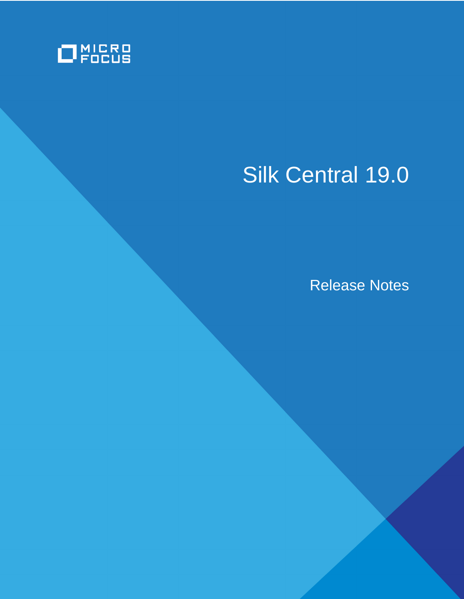

# Silk Central 19.0

Release Notes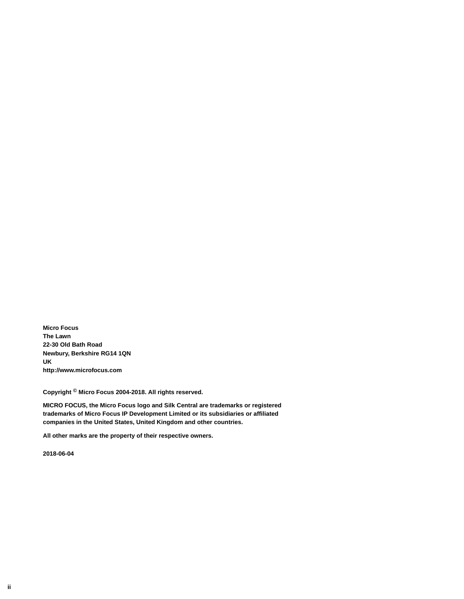**Micro Focus The Lawn 22-30 Old Bath Road Newbury, Berkshire RG14 1QN UK http://www.microfocus.com**

**Copyright © Micro Focus 2004-2018. All rights reserved.**

**MICRO FOCUS, the Micro Focus logo and Silk Central are trademarks or registered trademarks of Micro Focus IP Development Limited or its subsidiaries or affiliated companies in the United States, United Kingdom and other countries.**

**All other marks are the property of their respective owners.**

**2018-06-04**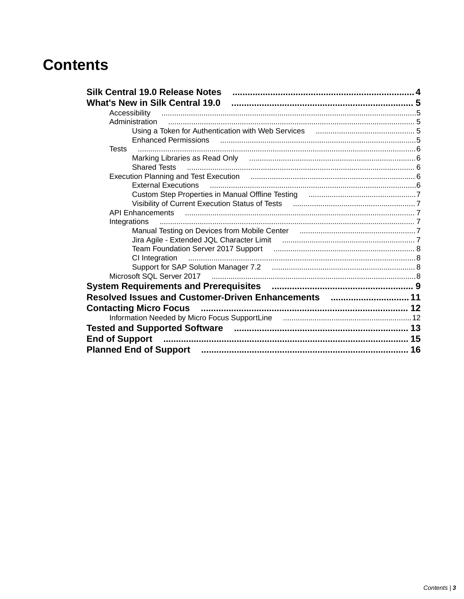### **Contents**

| <b>Silk Central 19.0 Release Notes</b>                                                                         |  |
|----------------------------------------------------------------------------------------------------------------|--|
|                                                                                                                |  |
| Accessibility                                                                                                  |  |
| Administration                                                                                                 |  |
|                                                                                                                |  |
|                                                                                                                |  |
| <b>Tests</b>                                                                                                   |  |
|                                                                                                                |  |
| <b>Shared Tests</b>                                                                                            |  |
|                                                                                                                |  |
|                                                                                                                |  |
|                                                                                                                |  |
|                                                                                                                |  |
|                                                                                                                |  |
|                                                                                                                |  |
|                                                                                                                |  |
|                                                                                                                |  |
|                                                                                                                |  |
| CI Integration                                                                                                 |  |
|                                                                                                                |  |
|                                                                                                                |  |
|                                                                                                                |  |
| Resolved Issues and Customer-Driven Enhancements  11                                                           |  |
| <b>Contacting Micro Focus</b>                                                                                  |  |
|                                                                                                                |  |
|                                                                                                                |  |
| End of Support manual content of the content of the content of the content of the content of the content of th |  |
|                                                                                                                |  |
|                                                                                                                |  |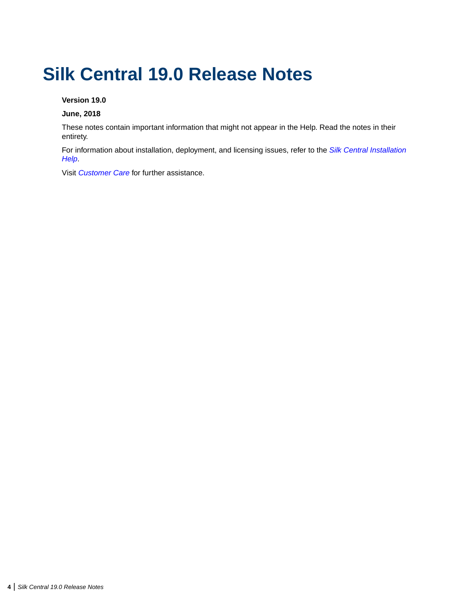## <span id="page-3-0"></span>**Silk Central 19.0 Release Notes**

### **Version 19.0**

#### **June, 2018**

These notes contain important information that might not appear in the Help. Read the notes in their entirety.

For information about installation, deployment, and licensing issues, refer to the *[Silk Central Installation](http://documentation.microfocus.com:8080/help/topic/com.microfocus.sctm.doc/SCTM-D613FA9C-INSTALLATIONHELP-CON.html) [Help](http://documentation.microfocus.com:8080/help/topic/com.microfocus.sctm.doc/SCTM-D613FA9C-INSTALLATIONHELP-CON.html)*.

Visit *[Customer Care](http://support.microfocus.com)* for further assistance.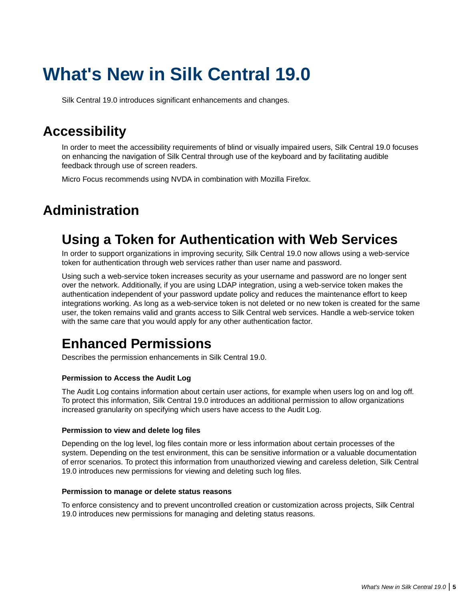## <span id="page-4-0"></span>**What's New in Silk Central 19.0**

Silk Central 19.0 introduces significant enhancements and changes.

### **Accessibility**

In order to meet the accessibility requirements of blind or visually impaired users, Silk Central 19.0 focuses on enhancing the navigation of Silk Central through use of the keyboard and by facilitating audible feedback through use of screen readers.

Micro Focus recommends using NVDA in combination with Mozilla Firefox.

### **Administration**

### **Using a Token for Authentication with Web Services**

In order to support organizations in improving security, Silk Central 19.0 now allows using a web-service token for authentication through web services rather than user name and password.

Using such a web-service token increases security as your username and password are no longer sent over the network. Additionally, if you are using LDAP integration, using a web-service token makes the authentication independent of your password update policy and reduces the maintenance effort to keep integrations working. As long as a web-service token is not deleted or no new token is created for the same user, the token remains valid and grants access to Silk Central web services. Handle a web-service token with the same care that you would apply for any other authentication factor.

### **Enhanced Permissions**

Describes the permission enhancements in Silk Central 19.0.

#### **Permission to Access the Audit Log**

The Audit Log contains information about certain user actions, for example when users log on and log off. To protect this information, Silk Central 19.0 introduces an additional permission to allow organizations increased granularity on specifying which users have access to the Audit Log.

#### **Permission to view and delete log files**

Depending on the log level, log files contain more or less information about certain processes of the system. Depending on the test environment, this can be sensitive information or a valuable documentation of error scenarios. To protect this information from unauthorized viewing and careless deletion, Silk Central 19.0 introduces new permissions for viewing and deleting such log files.

#### **Permission to manage or delete status reasons**

To enforce consistency and to prevent uncontrolled creation or customization across projects, Silk Central 19.0 introduces new permissions for managing and deleting status reasons.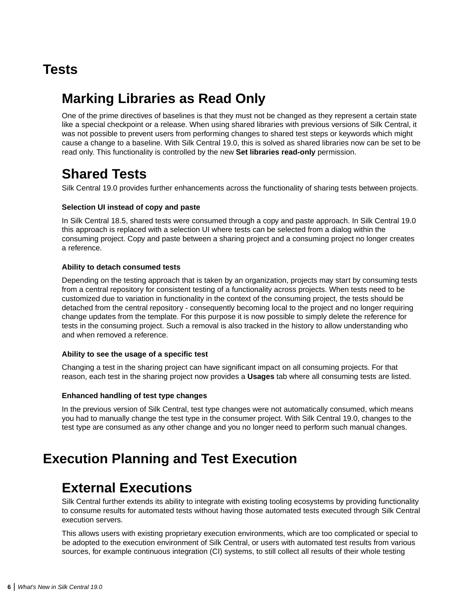### <span id="page-5-0"></span>**Tests**

### **Marking Libraries as Read Only**

One of the prime directives of baselines is that they must not be changed as they represent a certain state like a special checkpoint or a release. When using shared libraries with previous versions of Silk Central, it was not possible to prevent users from performing changes to shared test steps or keywords which might cause a change to a baseline. With Silk Central 19.0, this is solved as shared libraries now can be set to be read only. This functionality is controlled by the new **Set libraries read-only** permission.

### **Shared Tests**

Silk Central 19.0 provides further enhancements across the functionality of sharing tests between projects.

### **Selection UI instead of copy and paste**

In Silk Central 18.5, shared tests were consumed through a copy and paste approach. In Silk Central 19.0 this approach is replaced with a selection UI where tests can be selected from a dialog within the consuming project. Copy and paste between a sharing project and a consuming project no longer creates a reference.

#### **Ability to detach consumed tests**

Depending on the testing approach that is taken by an organization, projects may start by consuming tests from a central repository for consistent testing of a functionality across projects. When tests need to be customized due to variation in functionality in the context of the consuming project, the tests should be detached from the central repository - consequently becoming local to the project and no longer requiring change updates from the template. For this purpose it is now possible to simply delete the reference for tests in the consuming project. Such a removal is also tracked in the history to allow understanding who and when removed a reference.

### **Ability to see the usage of a specific test**

Changing a test in the sharing project can have significant impact on all consuming projects. For that reason, each test in the sharing project now provides a **Usages** tab where all consuming tests are listed.

### **Enhanced handling of test type changes**

In the previous version of Silk Central, test type changes were not automatically consumed, which means you had to manually change the test type in the consumer project. With Silk Central 19.0, changes to the test type are consumed as any other change and you no longer need to perform such manual changes.

### **Execution Planning and Test Execution**

### **External Executions**

Silk Central further extends its ability to integrate with existing tooling ecosystems by providing functionality to consume results for automated tests without having those automated tests executed through Silk Central execution servers.

This allows users with existing proprietary execution environments, which are too complicated or special to be adopted to the execution environment of Silk Central, or users with automated test results from various sources, for example continuous integration (CI) systems, to still collect all results of their whole testing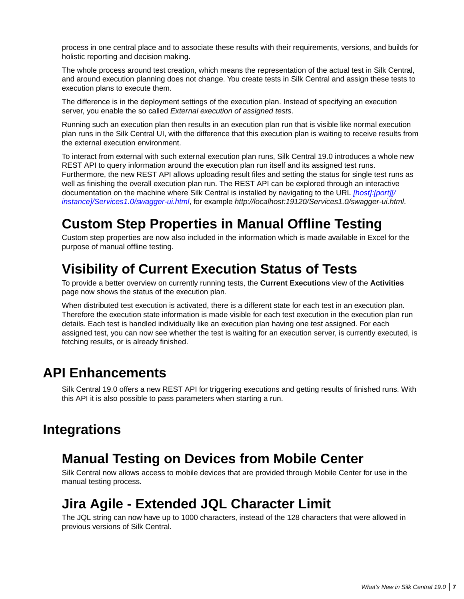<span id="page-6-0"></span>process in one central place and to associate these results with their requirements, versions, and builds for holistic reporting and decision making.

The whole process around test creation, which means the representation of the actual test in Silk Central, and around execution planning does not change. You create tests in Silk Central and assign these tests to execution plans to execute them.

The difference is in the deployment settings of the execution plan. Instead of specifying an execution server, you enable the so called *External execution of assigned tests*.

Running such an execution plan then results in an execution plan run that is visible like normal execution plan runs in the Silk Central UI, with the difference that this execution plan is waiting to receive results from the external execution environment.

To interact from external with such external execution plan runs, Silk Central 19.0 introduces a whole new REST API to query information around the execution plan run itself and its assigned test runs. Furthermore, the new REST API allows uploading result files and setting the status for single test runs as well as finishing the overall execution plan run. The REST API can be explored through an interactive documentation on the machine where Silk Central is installed by navigating to the URL *[host]:[port][/ instance]/Services1.0/swagger-ui.html*, for example *http://localhost:19120/Services1.0/swagger-ui.html*.

### **Custom Step Properties in Manual Offline Testing**

Custom step properties are now also included in the information which is made available in Excel for the purpose of manual offline testing.

### **Visibility of Current Execution Status of Tests**

To provide a better overview on currently running tests, the **Current Executions** view of the **Activities** page now shows the status of the execution plan.

When distributed test execution is activated, there is a different state for each test in an execution plan. Therefore the execution state information is made visible for each test execution in the execution plan run details. Each test is handled individually like an execution plan having one test assigned. For each assigned test, you can now see whether the test is waiting for an execution server, is currently executed, is fetching results, or is already finished.

### **API Enhancements**

Silk Central 19.0 offers a new REST API for triggering executions and getting results of finished runs. With this API it is also possible to pass parameters when starting a run.

### **Integrations**

### **Manual Testing on Devices from Mobile Center**

Silk Central now allows access to mobile devices that are provided through Mobile Center for use in the manual testing process.

### **Jira Agile - Extended JQL Character Limit**

The JQL string can now have up to 1000 characters, instead of the 128 characters that were allowed in previous versions of Silk Central.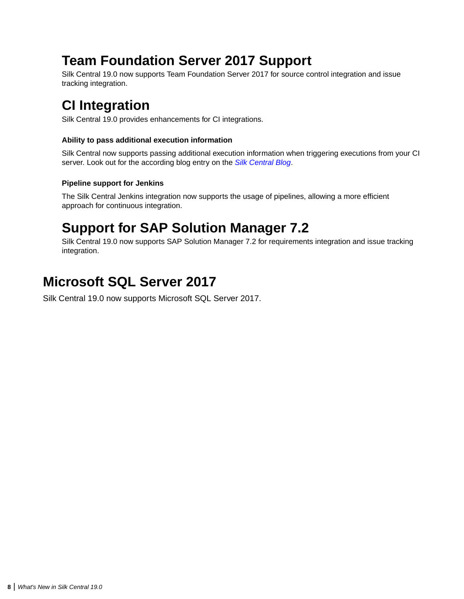### <span id="page-7-0"></span>**Team Foundation Server 2017 Support**

Silk Central 19.0 now supports Team Foundation Server 2017 for source control integration and issue tracking integration.

### **CI Integration**

Silk Central 19.0 provides enhancements for CI integrations.

### **Ability to pass additional execution information**

Silk Central now supports passing additional execution information when triggering executions from your CI server. Look out for the according blog entry on the *[Silk Central Blog](https://community.microfocus.com/borland/test/silk_central/b/weblog)*.

### **Pipeline support for Jenkins**

The Silk Central Jenkins integration now supports the usage of pipelines, allowing a more efficient approach for continuous integration.

### **Support for SAP Solution Manager 7.2**

Silk Central 19.0 now supports SAP Solution Manager 7.2 for requirements integration and issue tracking integration.

### **Microsoft SQL Server 2017**

Silk Central 19.0 now supports Microsoft SQL Server 2017.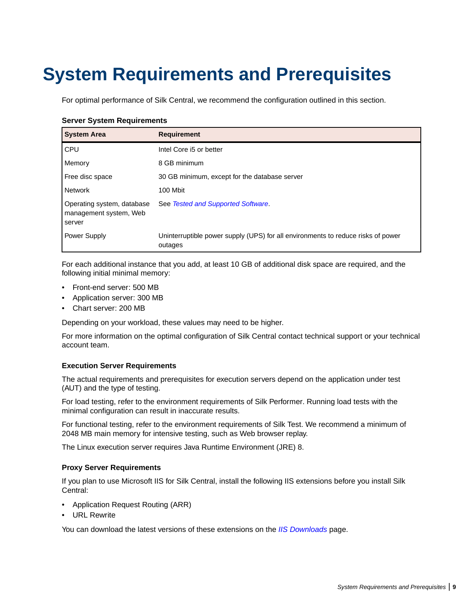## <span id="page-8-0"></span>**System Requirements and Prerequisites**

For optimal performance of Silk Central, we recommend the configuration outlined in this section.

#### **Server System Requirements**

| <b>System Area</b>                                             | <b>Requirement</b>                                                                          |
|----------------------------------------------------------------|---------------------------------------------------------------------------------------------|
| <b>CPU</b>                                                     | Intel Core i5 or better                                                                     |
| Memory                                                         | 8 GB minimum                                                                                |
| Free disc space                                                | 30 GB minimum, except for the database server                                               |
| Network                                                        | 100 Mbit                                                                                    |
| Operating system, database<br>management system, Web<br>server | See Tested and Supported Software.                                                          |
| <b>Power Supply</b>                                            | Uninterruptible power supply (UPS) for all environments to reduce risks of power<br>outages |

For each additional instance that you add, at least 10 GB of additional disk space are required, and the following initial minimal memory:

- Front-end server: 500 MB
- Application server: 300 MB
- Chart server: 200 MB

Depending on your workload, these values may need to be higher.

For more information on the optimal configuration of Silk Central contact technical support or your technical account team.

#### **Execution Server Requirements**

The actual requirements and prerequisites for execution servers depend on the application under test (AUT) and the type of testing.

For load testing, refer to the environment requirements of Silk Performer. Running load tests with the minimal configuration can result in inaccurate results.

For functional testing, refer to the environment requirements of Silk Test. We recommend a minimum of 2048 MB main memory for intensive testing, such as Web browser replay.

The Linux execution server requires Java Runtime Environment (JRE) 8.

#### **Proxy Server Requirements**

If you plan to use Microsoft IIS for Silk Central, install the following IIS extensions before you install Silk Central:

- Application Request Routing (ARR)
- URL Rewrite

You can download the latest versions of these extensions on the *[IIS Downloads](http://www.iis.net/downloads)* page.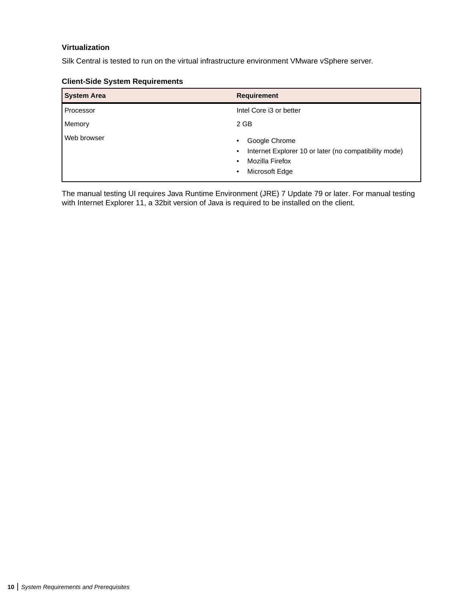### **Virtualization**

Silk Central is tested to run on the virtual infrastructure environment VMware vSphere server.

| <b>System Area</b> | <b>Requirement</b>                                                                                                                                              |
|--------------------|-----------------------------------------------------------------------------------------------------------------------------------------------------------------|
| Processor          | Intel Core i3 or better                                                                                                                                         |
| Memory             | 2 GB                                                                                                                                                            |
| Web browser        | Google Chrome<br>$\bullet$<br>Internet Explorer 10 or later (no compatibility mode)<br>$\bullet$<br>Mozilla Firefox<br>$\bullet$<br>Microsoft Edge<br>$\bullet$ |

#### **Client-Side System Requirements**

The manual testing UI requires Java Runtime Environment (JRE) 7 Update 79 or later. For manual testing with Internet Explorer 11, a 32bit version of Java is required to be installed on the client.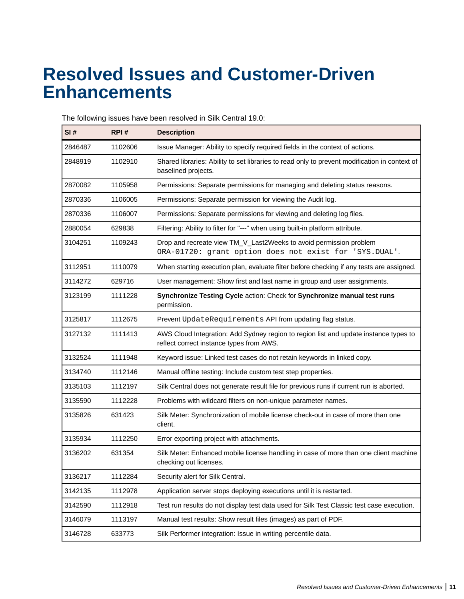## <span id="page-10-0"></span>**Resolved Issues and Customer-Driven Enhancements**

The following issues have been resolved in Silk Central 19.0:

| SI#     | RPI#    | <b>Description</b>                                                                                                               |
|---------|---------|----------------------------------------------------------------------------------------------------------------------------------|
| 2846487 | 1102606 | Issue Manager: Ability to specify required fields in the context of actions.                                                     |
| 2848919 | 1102910 | Shared libraries: Ability to set libraries to read only to prevent modification in context of<br>baselined projects.             |
| 2870082 | 1105958 | Permissions: Separate permissions for managing and deleting status reasons.                                                      |
| 2870336 | 1106005 | Permissions: Separate permission for viewing the Audit log.                                                                      |
| 2870336 | 1106007 | Permissions: Separate permissions for viewing and deleting log files.                                                            |
| 2880054 | 629838  | Filtering: Ability to filter for "---" when using built-in platform attribute.                                                   |
| 3104251 | 1109243 | Drop and recreate view TM_V_Last2Weeks to avoid permission problem<br>ORA-01720: grant option does not exist for 'SYS. DUAL'.    |
| 3112951 | 1110079 | When starting execution plan, evaluate filter before checking if any tests are assigned.                                         |
| 3114272 | 629716  | User management: Show first and last name in group and user assignments.                                                         |
| 3123199 | 1111228 | Synchronize Testing Cycle action: Check for Synchronize manual test runs<br>permission.                                          |
| 3125817 | 1112675 | Prevent UpdateRequirements API from updating flag status.                                                                        |
| 3127132 | 1111413 | AWS Cloud Integration: Add Sydney region to region list and update instance types to<br>reflect correct instance types from AWS. |
| 3132524 | 1111948 | Keyword issue: Linked test cases do not retain keywords in linked copy.                                                          |
| 3134740 | 1112146 | Manual offline testing: Include custom test step properties.                                                                     |
| 3135103 | 1112197 | Silk Central does not generate result file for previous runs if current run is aborted.                                          |
| 3135590 | 1112228 | Problems with wildcard filters on non-unique parameter names.                                                                    |
| 3135826 | 631423  | Silk Meter: Synchronization of mobile license check-out in case of more than one<br>client.                                      |
| 3135934 | 1112250 | Error exporting project with attachments.                                                                                        |
| 3136202 | 631354  | Silk Meter: Enhanced mobile license handling in case of more than one client machine<br>checking out licenses.                   |
| 3136217 | 1112284 | Security alert for Silk Central.                                                                                                 |
| 3142135 | 1112978 | Application server stops deploying executions until it is restarted.                                                             |
| 3142590 | 1112918 | Test run results do not display test data used for Silk Test Classic test case execution.                                        |
| 3146079 | 1113197 | Manual test results: Show result files (images) as part of PDF.                                                                  |
| 3146728 | 633773  | Silk Performer integration: Issue in writing percentile data.                                                                    |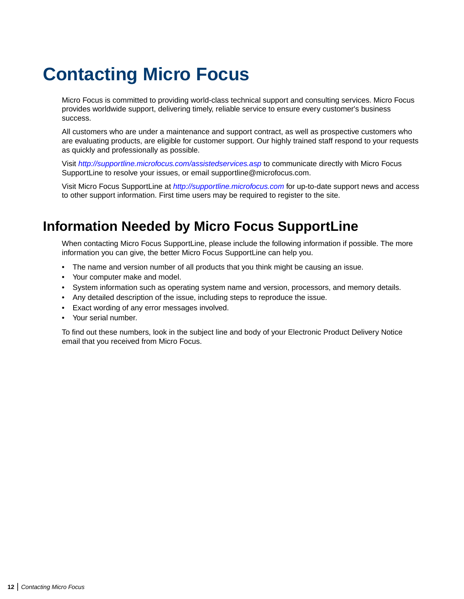## <span id="page-11-0"></span>**Contacting Micro Focus**

Micro Focus is committed to providing world-class technical support and consulting services. Micro Focus provides worldwide support, delivering timely, reliable service to ensure every customer's business success.

All customers who are under a maintenance and support contract, as well as prospective customers who are evaluating products, are eligible for customer support. Our highly trained staff respond to your requests as quickly and professionally as possible.

Visit *<http://supportline.microfocus.com/assistedservices.asp>* to communicate directly with Micro Focus SupportLine to resolve your issues, or email supportline@microfocus.com.

Visit Micro Focus SupportLine at *<http://supportline.microfocus.com>* for up-to-date support news and access to other support information. First time users may be required to register to the site.

### **Information Needed by Micro Focus SupportLine**

When contacting Micro Focus SupportLine, please include the following information if possible. The more information you can give, the better Micro Focus SupportLine can help you.

- The name and version number of all products that you think might be causing an issue.
- Your computer make and model.
- System information such as operating system name and version, processors, and memory details.
- Any detailed description of the issue, including steps to reproduce the issue.
- Exact wording of any error messages involved.
- Your serial number.

To find out these numbers, look in the subject line and body of your Electronic Product Delivery Notice email that you received from Micro Focus.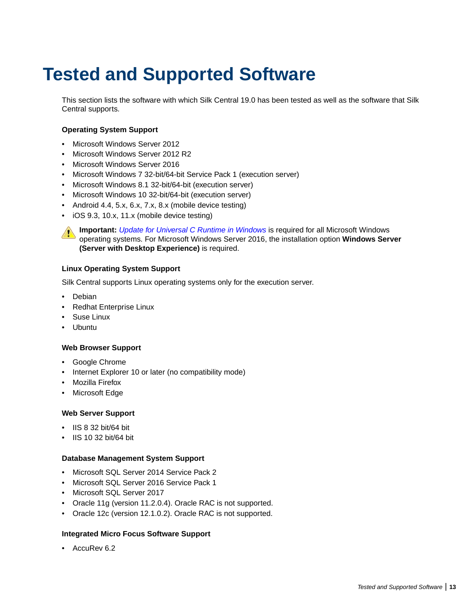## <span id="page-12-0"></span>**Tested and Supported Software**

This section lists the software with which Silk Central 19.0 has been tested as well as the software that Silk Central supports.

### **Operating System Support**

- Microsoft Windows Server 2012
- Microsoft Windows Server 2012 R2
- Microsoft Windows Server 2016
- Microsoft Windows 7 32-bit/64-bit Service Pack 1 (execution server)
- Microsoft Windows 8.1 32-bit/64-bit (execution server)
- Microsoft Windows 10 32-bit/64-bit (execution server)
- Android 4.4, 5.x, 6.x, 7.x, 8.x (mobile device testing)
- iOS 9.3, 10.x, 11.x (mobile device testing)

**Important:** *[Update for Universal C Runtime in Windows](https://support.microsoft.com/kb/2999226)* is required for all Microsoft Windows operating systems. For Microsoft Windows Server 2016, the installation option **Windows Server (Server with Desktop Experience)** is required.

### **Linux Operating System Support**

Silk Central supports Linux operating systems only for the execution server.

- Debian
- Redhat Enterprise Linux
- Suse Linux
- Ubuntu

#### **Web Browser Support**

- Google Chrome
- Internet Explorer 10 or later (no compatibility mode)
- Mozilla Firefox
- Microsoft Edge

#### **Web Server Support**

- IIS 8 32 bit/64 bit
- IIS 10 32 bit/64 bit

#### **Database Management System Support**

- Microsoft SQL Server 2014 Service Pack 2
- Microsoft SQL Server 2016 Service Pack 1
- Microsoft SQL Server 2017
- Oracle 11g (version 11.2.0.4). Oracle RAC is not supported.
- Oracle 12c (version 12.1.0.2). Oracle RAC is not supported.

#### **Integrated Micro Focus Software Support**

• AccuRev 6.2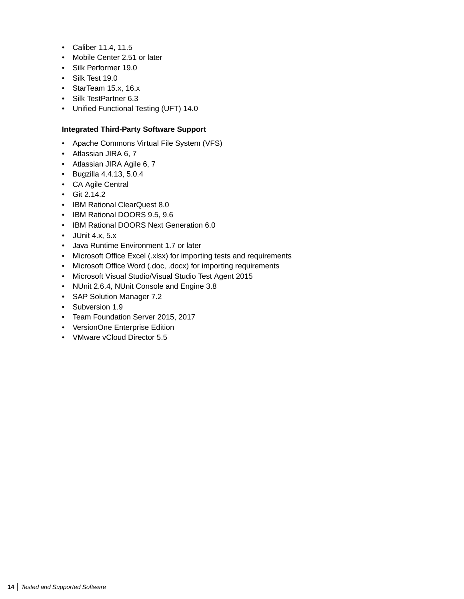- Caliber 11.4, 11.5
- Mobile Center 2.51 or later
- Silk Performer 19.0
- Silk Test 19.0
- StarTeam 15.x, 16.x
- Silk TestPartner 6.3
- Unified Functional Testing (UFT) 14.0

### **Integrated Third-Party Software Support**

- Apache Commons Virtual File System (VFS)
- Atlassian JIRA 6, 7
- Atlassian JIRA Agile 6, 7
- Bugzilla 4.4.13, 5.0.4
- CA Agile Central
- Git 2.14.2
- IBM Rational ClearQuest 8.0
- IBM Rational DOORS 9.5, 9.6
- IBM Rational DOORS Next Generation 6.0
- $\bullet$  JUnit 4.x, 5.x
- Java Runtime Environment 1.7 or later
- Microsoft Office Excel (.xlsx) for importing tests and requirements
- Microsoft Office Word (.doc, .docx) for importing requirements
- Microsoft Visual Studio/Visual Studio Test Agent 2015
- NUnit 2.6.4, NUnit Console and Engine 3.8
- SAP Solution Manager 7.2
- Subversion 1.9
- Team Foundation Server 2015, 2017
- VersionOne Enterprise Edition
- VMware vCloud Director 5.5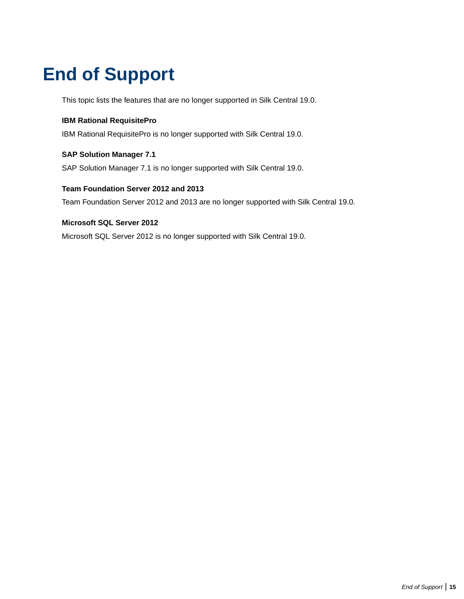## <span id="page-14-0"></span>**End of Support**

This topic lists the features that are no longer supported in Silk Central 19.0.

### **IBM Rational RequisitePro**

IBM Rational RequisitePro is no longer supported with Silk Central 19.0.

### **SAP Solution Manager 7.1**

SAP Solution Manager 7.1 is no longer supported with Silk Central 19.0.

#### **Team Foundation Server 2012 and 2013**

Team Foundation Server 2012 and 2013 are no longer supported with Silk Central 19.0.

#### **Microsoft SQL Server 2012**

Microsoft SQL Server 2012 is no longer supported with Silk Central 19.0.